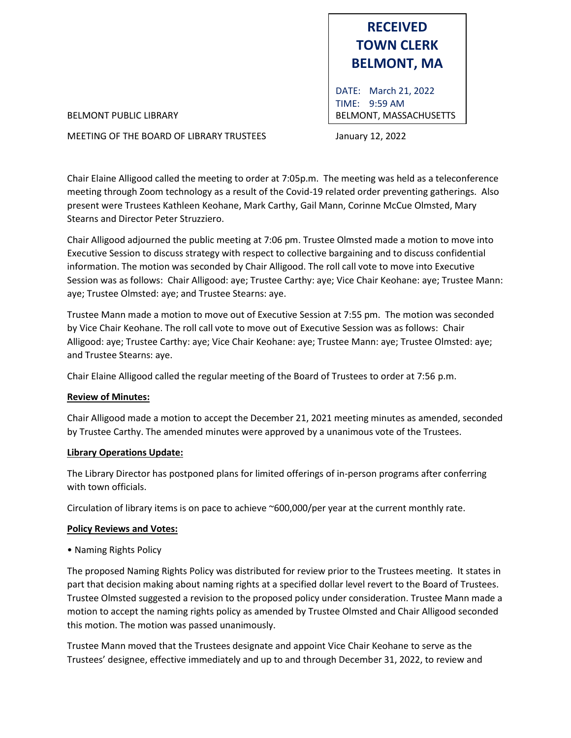

DATE: March 21, 2022 TIME: 9:59 AM BELMONT PUBLIC LIBRARY **BELMONT, MASSACHUSETTS** 

MEETING OF THE BOARD OF LIBRARY TRUSTEES January 12, 2022

Chair Elaine Alligood called the meeting to order at 7:05p.m. The meeting was held as a teleconference meeting through Zoom technology as a result of the Covid-19 related order preventing gatherings. Also present were Trustees Kathleen Keohane, Mark Carthy, Gail Mann, Corinne McCue Olmsted, Mary Stearns and Director Peter Struzziero.

Chair Alligood adjourned the public meeting at 7:06 pm. Trustee Olmsted made a motion to move into Executive Session to discuss strategy with respect to collective bargaining and to discuss confidential information. The motion was seconded by Chair Alligood. The roll call vote to move into Executive Session was as follows: Chair Alligood: aye; Trustee Carthy: aye; Vice Chair Keohane: aye; Trustee Mann: aye; Trustee Olmsted: aye; and Trustee Stearns: aye.

Trustee Mann made a motion to move out of Executive Session at 7:55 pm. The motion was seconded by Vice Chair Keohane. The roll call vote to move out of Executive Session was as follows: Chair Alligood: aye; Trustee Carthy: aye; Vice Chair Keohane: aye; Trustee Mann: aye; Trustee Olmsted: aye; and Trustee Stearns: aye.

Chair Elaine Alligood called the regular meeting of the Board of Trustees to order at 7:56 p.m.

## **Review of Minutes:**

Chair Alligood made a motion to accept the December 21, 2021 meeting minutes as amended, seconded by Trustee Carthy. The amended minutes were approved by a unanimous vote of the Trustees.

## **Library Operations Update:**

The Library Director has postponed plans for limited offerings of in-person programs after conferring with town officials.

Circulation of library items is on pace to achieve ~600,000/per year at the current monthly rate.

## **Policy Reviews and Votes:**

• Naming Rights Policy

The proposed Naming Rights Policy was distributed for review prior to the Trustees meeting. It states in part that decision making about naming rights at a specified dollar level revert to the Board of Trustees. Trustee Olmsted suggested a revision to the proposed policy under consideration. Trustee Mann made a motion to accept the naming rights policy as amended by Trustee Olmsted and Chair Alligood seconded this motion. The motion was passed unanimously.

Trustee Mann moved that the Trustees designate and appoint Vice Chair Keohane to serve as the Trustees' designee, effective immediately and up to and through December 31, 2022, to review and